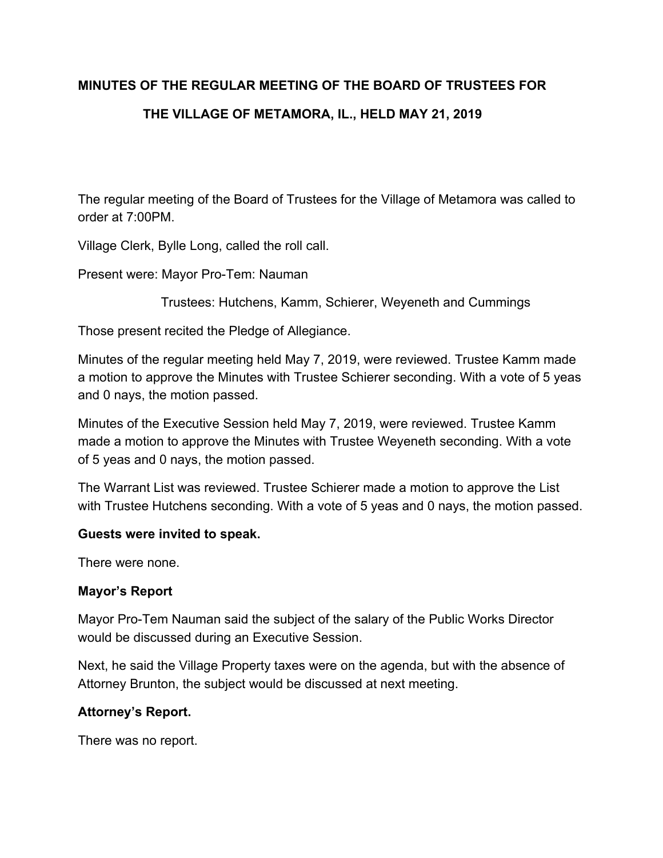# **MINUTES OF THE REGULAR MEETING OF THE BOARD OF TRUSTEES FOR**

# **THE VILLAGE OF METAMORA, IL., HELD MAY 21, 2019**

The regular meeting of the Board of Trustees for the Village of Metamora was called to order at 7:00PM.

Village Clerk, Bylle Long, called the roll call.

Present were: Mayor Pro-Tem: Nauman

Trustees: Hutchens, Kamm, Schierer, Weyeneth and Cummings

Those present recited the Pledge of Allegiance.

Minutes of the regular meeting held May 7, 2019, were reviewed. Trustee Kamm made a motion to approve the Minutes with Trustee Schierer seconding. With a vote of 5 yeas and 0 nays, the motion passed.

Minutes of the Executive Session held May 7, 2019, were reviewed. Trustee Kamm made a motion to approve the Minutes with Trustee Weyeneth seconding. With a vote of 5 yeas and 0 nays, the motion passed.

The Warrant List was reviewed. Trustee Schierer made a motion to approve the List with Trustee Hutchens seconding. With a vote of 5 yeas and 0 nays, the motion passed.

### **Guests were invited to speak.**

There were none.

### **Mayor's Report**

Mayor Pro-Tem Nauman said the subject of the salary of the Public Works Director would be discussed during an Executive Session.

Next, he said the Village Property taxes were on the agenda, but with the absence of Attorney Brunton, the subject would be discussed at next meeting.

### **Attorney's Report.**

There was no report.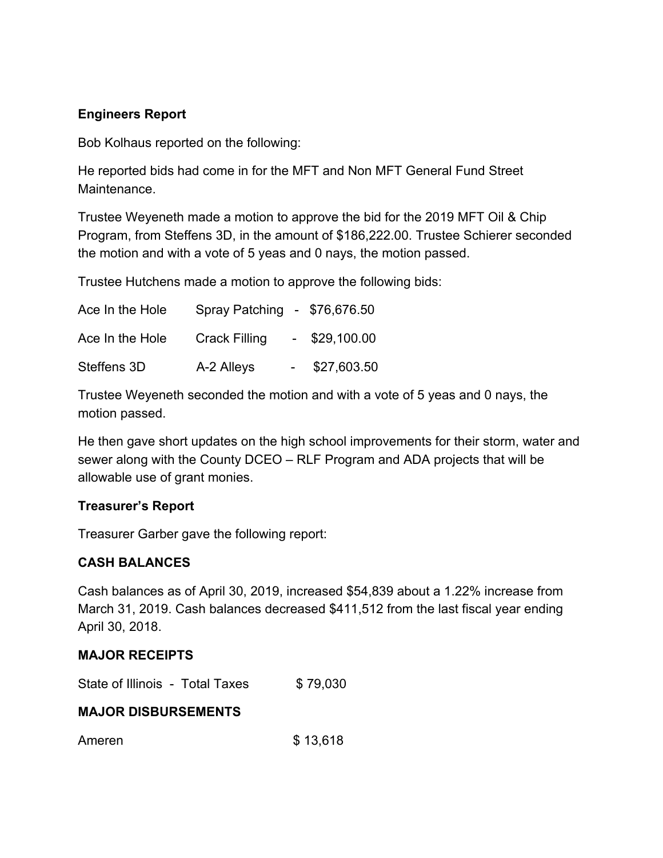# **Engineers Report**

Bob Kolhaus reported on the following:

He reported bids had come in for the MFT and Non MFT General Fund Street Maintenance.

Trustee Weyeneth made a motion to approve the bid for the 2019 MFT Oil & Chip Program, from Steffens 3D, in the amount of \$186,222.00. Trustee Schierer seconded the motion and with a vote of 5 yeas and 0 nays, the motion passed.

Trustee Hutchens made a motion to approve the following bids:

| Ace In the Hole | Spray Patching - \$76,676.50 |                 |  |
|-----------------|------------------------------|-----------------|--|
| Ace In the Hole | <b>Crack Filling</b>         | $-$ \$29,100.00 |  |
| Steffens 3D     | A-2 Alleys                   | \$27,603.50     |  |

Trustee Weyeneth seconded the motion and with a vote of 5 yeas and 0 nays, the motion passed.

He then gave short updates on the high school improvements for their storm, water and sewer along with the County DCEO – RLF Program and ADA projects that will be allowable use of grant monies.

### **Treasurer's Report**

Treasurer Garber gave the following report:

# **CASH BALANCES**

Cash balances as of April 30, 2019, increased \$54,839 about a 1.22% increase from March 31, 2019. Cash balances decreased \$411,512 from the last fiscal year ending April 30, 2018.

### **MAJOR RECEIPTS**

State of Illinois - Total Taxes \$79,030

### **MAJOR DISBURSEMENTS**

Ameren \$ 13,618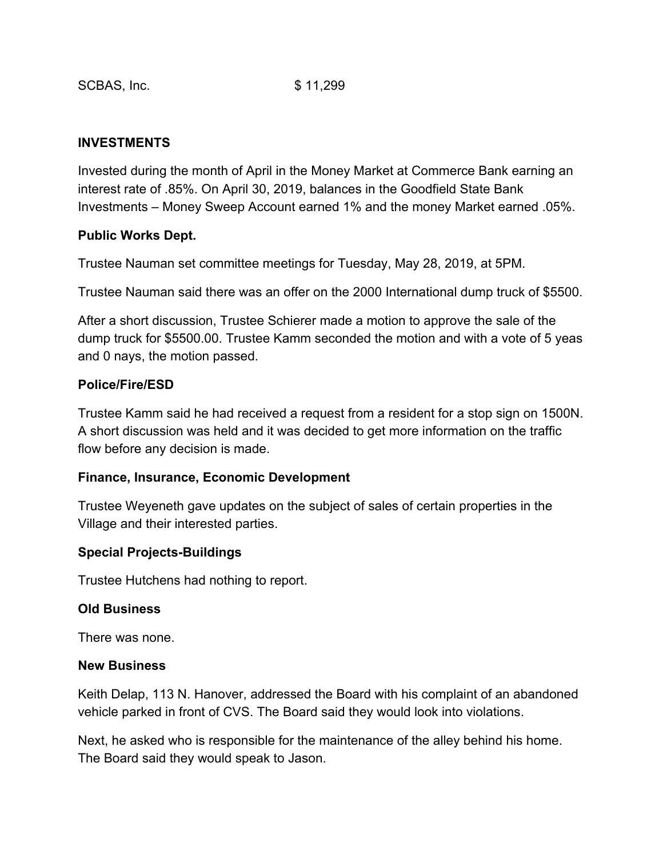### **INVESTMENTS**

Invested during the month of April in the Money Market at Commerce Bank earning an interest rate of .85%. On April 30, 2019, balances in the Goodfield State Bank Investments – Money Sweep Account earned 1% and the money Market earned .05%.

### **Public Works Dept.**

Trustee Nauman set committee meetings for Tuesday, May 28, 2019, at 5PM.

Trustee Nauman said there was an offer on the 2000 International dump truck of \$5500.

After a short discussion, Trustee Schierer made a motion to approve the sale of the dump truck for \$5500.00. Trustee Kamm seconded the motion and with a vote of 5 yeas and 0 nays, the motion passed.

### **Police/Fire/ESD**

Trustee Kamm said he had received a request from a resident for a stop sign on 1500N. A short discussion was held and it was decided to get more information on the traffic flow before any decision is made.

### **Finance, Insurance, Economic Development**

Trustee Weyeneth gave updates on the subject of sales of certain properties in the Village and their interested parties.

### **Special Projects-Buildings**

Trustee Hutchens had nothing to report.

### **Old Business**

There was none.

### **New Business**

Keith Delap, 113 N. Hanover, addressed the Board with his complaint of an abandoned vehicle parked in front of CVS. The Board said they would look into violations.

Next, he asked who is responsible for the maintenance of the alley behind his home. The Board said they would speak to Jason.